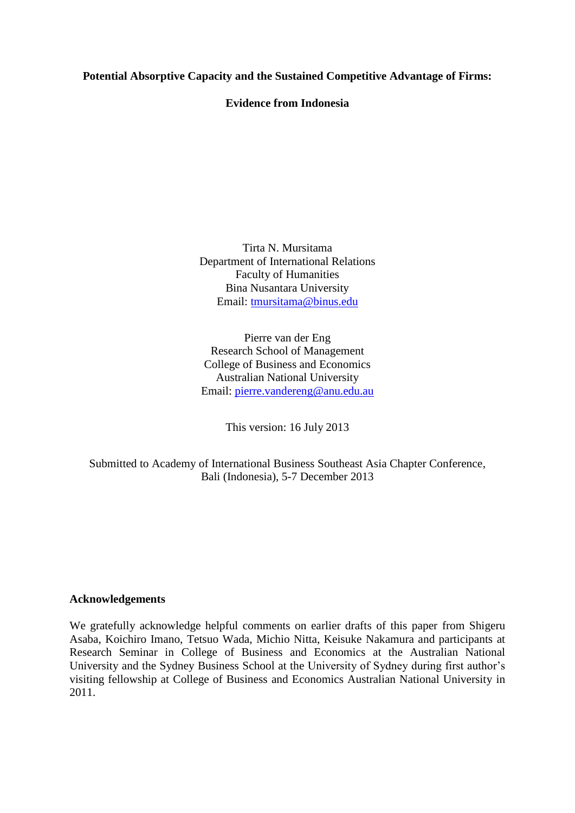## **Potential Absorptive Capacity and the Sustained Competitive Advantage of Firms:**

## **Evidence from Indonesia**

Tirta N. Mursitama Department of International Relations Faculty of Humanities Bina Nusantara University Email: [tmursitama@binus.edu](mailto:tmursitama@binus.edu)

Pierre van der Eng Research School of Management College of Business and Economics Australian National University Email: [pierre.vandereng@anu.edu.au](mailto:pierre.vandereng@anu.edu.au)

This version: 16 July 2013

Submitted to Academy of International Business Southeast Asia Chapter Conference, Bali (Indonesia), 5-7 December 2013

## **Acknowledgements**

We gratefully acknowledge helpful comments on earlier drafts of this paper from Shigeru Asaba, Koichiro Imano, Tetsuo Wada, Michio Nitta, Keisuke Nakamura and participants at Research Seminar in College of Business and Economics at the Australian National University and the Sydney Business School at the University of Sydney during first author's visiting fellowship at College of Business and Economics Australian National University in 2011.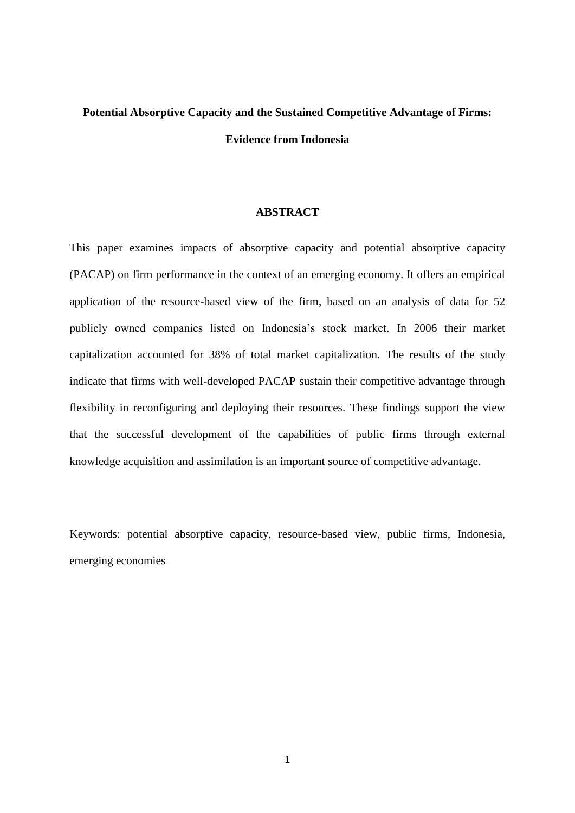# **Potential Absorptive Capacity and the Sustained Competitive Advantage of Firms: Evidence from Indonesia**

### **ABSTRACT**

This paper examines impacts of absorptive capacity and potential absorptive capacity (PACAP) on firm performance in the context of an emerging economy. It offers an empirical application of the resource-based view of the firm, based on an analysis of data for 52 publicly owned companies listed on Indonesia's stock market. In 2006 their market capitalization accounted for 38% of total market capitalization. The results of the study indicate that firms with well-developed PACAP sustain their competitive advantage through flexibility in reconfiguring and deploying their resources. These findings support the view that the successful development of the capabilities of public firms through external knowledge acquisition and assimilation is an important source of competitive advantage.

Keywords: potential absorptive capacity, resource-based view, public firms, Indonesia, emerging economies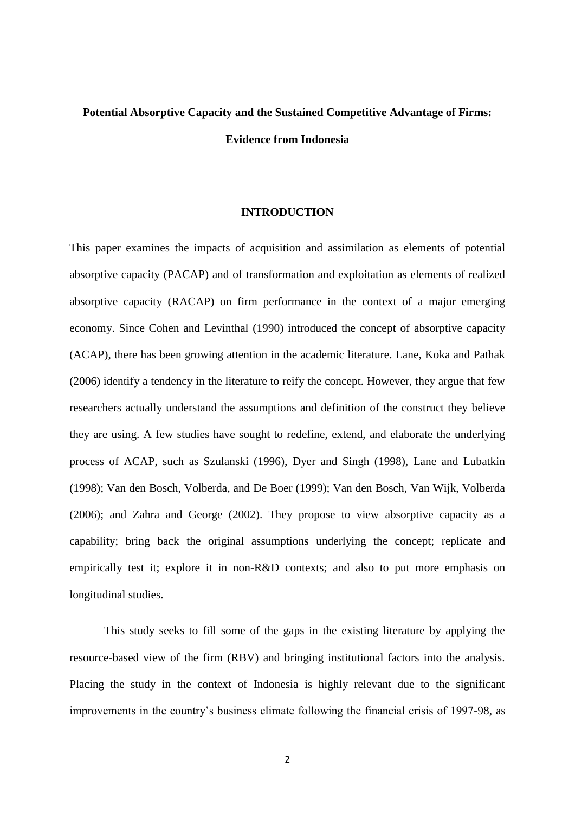# **Potential Absorptive Capacity and the Sustained Competitive Advantage of Firms: Evidence from Indonesia**

#### **INTRODUCTION**

This paper examines the impacts of acquisition and assimilation as elements of potential absorptive capacity (PACAP) and of transformation and exploitation as elements of realized absorptive capacity (RACAP) on firm performance in the context of a major emerging economy. Since Cohen and Levinthal (1990) introduced the concept of absorptive capacity (ACAP), there has been growing attention in the academic literature. Lane, Koka and Pathak (2006) identify a tendency in the literature to reify the concept. However, they argue that few researchers actually understand the assumptions and definition of the construct they believe they are using. A few studies have sought to redefine, extend, and elaborate the underlying process of ACAP, such as Szulanski (1996), Dyer and Singh (1998), Lane and Lubatkin (1998); Van den Bosch, Volberda, and De Boer (1999); Van den Bosch, Van Wijk, Volberda (2006); and Zahra and George (2002). They propose to view absorptive capacity as a capability; bring back the original assumptions underlying the concept; replicate and empirically test it; explore it in non-R&D contexts; and also to put more emphasis on longitudinal studies.

This study seeks to fill some of the gaps in the existing literature by applying the resource-based view of the firm (RBV) and bringing institutional factors into the analysis. Placing the study in the context of Indonesia is highly relevant due to the significant improvements in the country's business climate following the financial crisis of 1997-98, as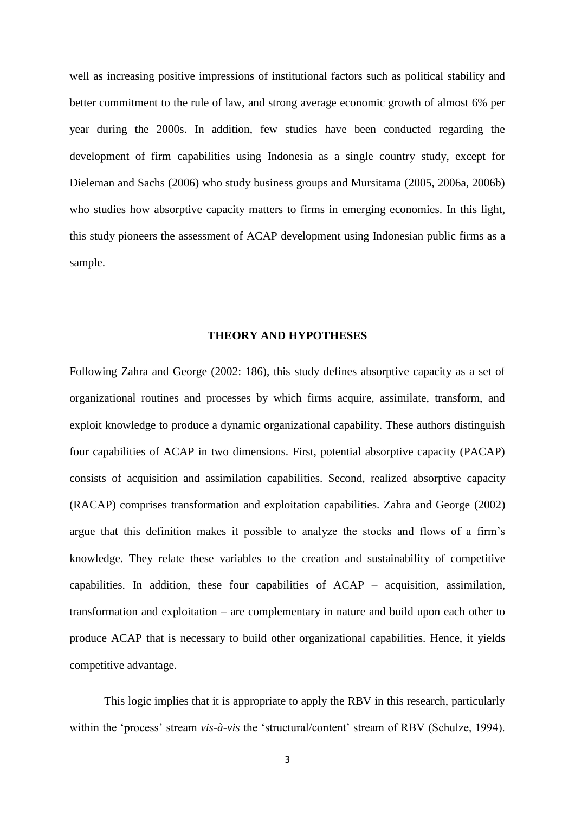well as increasing positive impressions of institutional factors such as political stability and better commitment to the rule of law, and strong average economic growth of almost 6% per year during the 2000s. In addition, few studies have been conducted regarding the development of firm capabilities using Indonesia as a single country study, except for Dieleman and Sachs (2006) who study business groups and Mursitama (2005, 2006a, 2006b) who studies how absorptive capacity matters to firms in emerging economies. In this light, this study pioneers the assessment of ACAP development using Indonesian public firms as a sample.

## **THEORY AND HYPOTHESES**

Following Zahra and George (2002: 186), this study defines absorptive capacity as a set of organizational routines and processes by which firms acquire, assimilate, transform, and exploit knowledge to produce a dynamic organizational capability. These authors distinguish four capabilities of ACAP in two dimensions. First, potential absorptive capacity (PACAP) consists of acquisition and assimilation capabilities. Second, realized absorptive capacity (RACAP) comprises transformation and exploitation capabilities. Zahra and George (2002) argue that this definition makes it possible to analyze the stocks and flows of a firm's knowledge. They relate these variables to the creation and sustainability of competitive capabilities. In addition, these four capabilities of ACAP – acquisition, assimilation, transformation and exploitation – are complementary in nature and build upon each other to produce ACAP that is necessary to build other organizational capabilities. Hence, it yields competitive advantage.

This logic implies that it is appropriate to apply the RBV in this research, particularly within the 'process' stream *vis-à-vis* the 'structural/content' stream of RBV (Schulze, 1994).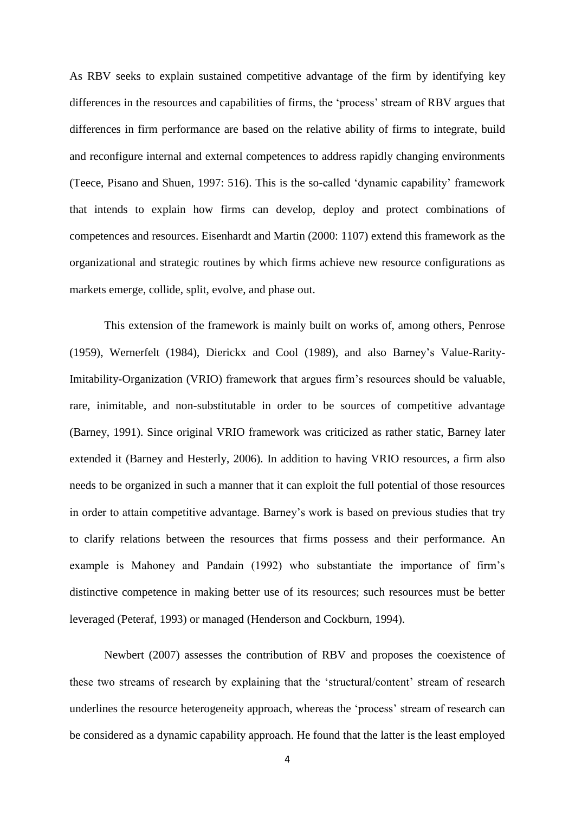As RBV seeks to explain sustained competitive advantage of the firm by identifying key differences in the resources and capabilities of firms, the 'process' stream of RBV argues that differences in firm performance are based on the relative ability of firms to integrate, build and reconfigure internal and external competences to address rapidly changing environments (Teece, Pisano and Shuen, 1997: 516). This is the so-called 'dynamic capability' framework that intends to explain how firms can develop, deploy and protect combinations of competences and resources. Eisenhardt and Martin (2000: 1107) extend this framework as the organizational and strategic routines by which firms achieve new resource configurations as markets emerge, collide, split, evolve, and phase out.

This extension of the framework is mainly built on works of, among others, Penrose (1959), Wernerfelt (1984), Dierickx and Cool (1989), and also Barney's Value-Rarity-Imitability-Organization (VRIO) framework that argues firm's resources should be valuable, rare, inimitable, and non-substitutable in order to be sources of competitive advantage (Barney, 1991). Since original VRIO framework was criticized as rather static, Barney later extended it (Barney and Hesterly, 2006). In addition to having VRIO resources, a firm also needs to be organized in such a manner that it can exploit the full potential of those resources in order to attain competitive advantage. Barney's work is based on previous studies that try to clarify relations between the resources that firms possess and their performance. An example is Mahoney and Pandain (1992) who substantiate the importance of firm's distinctive competence in making better use of its resources; such resources must be better leveraged (Peteraf, 1993) or managed (Henderson and Cockburn, 1994).

Newbert (2007) assesses the contribution of RBV and proposes the coexistence of these two streams of research by explaining that the 'structural/content' stream of research underlines the resource heterogeneity approach, whereas the 'process' stream of research can be considered as a dynamic capability approach. He found that the latter is the least employed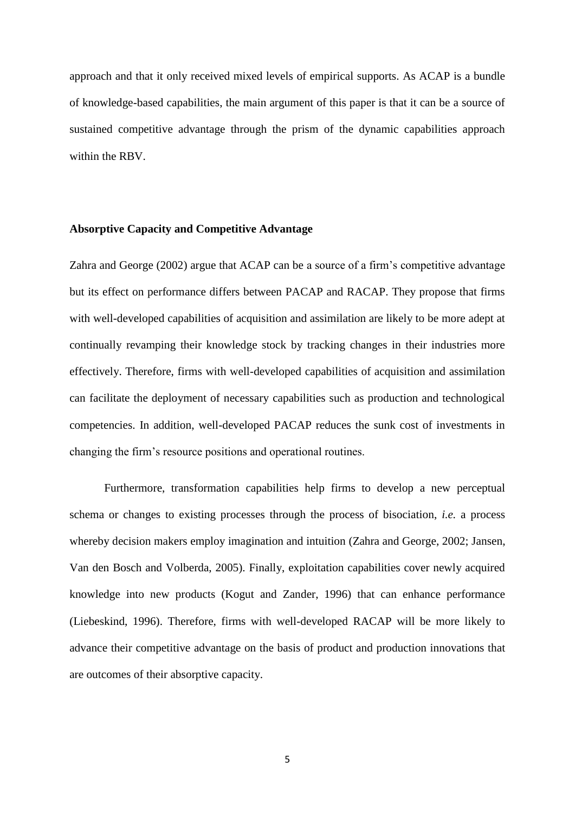approach and that it only received mixed levels of empirical supports. As ACAP is a bundle of knowledge-based capabilities, the main argument of this paper is that it can be a source of sustained competitive advantage through the prism of the dynamic capabilities approach within the RBV.

## **Absorptive Capacity and Competitive Advantage**

Zahra and George (2002) argue that ACAP can be a source of a firm's competitive advantage but its effect on performance differs between PACAP and RACAP. They propose that firms with well-developed capabilities of acquisition and assimilation are likely to be more adept at continually revamping their knowledge stock by tracking changes in their industries more effectively. Therefore, firms with well-developed capabilities of acquisition and assimilation can facilitate the deployment of necessary capabilities such as production and technological competencies. In addition, well-developed PACAP reduces the sunk cost of investments in changing the firm's resource positions and operational routines.

Furthermore, transformation capabilities help firms to develop a new perceptual schema or changes to existing processes through the process of bisociation, *i.e.* a process whereby decision makers employ imagination and intuition (Zahra and George, 2002; Jansen, Van den Bosch and Volberda, 2005). Finally, exploitation capabilities cover newly acquired knowledge into new products (Kogut and Zander, 1996) that can enhance performance (Liebeskind, 1996). Therefore, firms with well-developed RACAP will be more likely to advance their competitive advantage on the basis of product and production innovations that are outcomes of their absorptive capacity.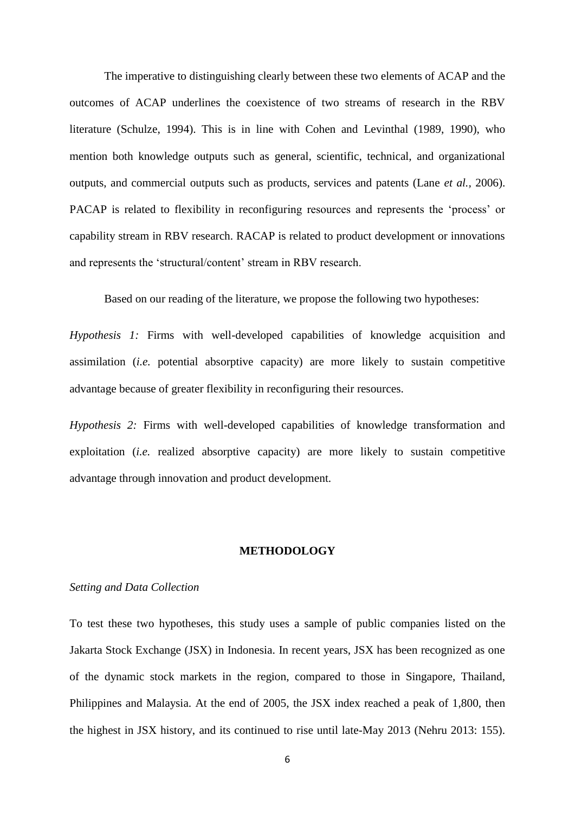The imperative to distinguishing clearly between these two elements of ACAP and the outcomes of ACAP underlines the coexistence of two streams of research in the RBV literature (Schulze, 1994). This is in line with Cohen and Levinthal (1989, 1990), who mention both knowledge outputs such as general, scientific, technical, and organizational outputs, and commercial outputs such as products, services and patents (Lane *et al.,* 2006). PACAP is related to flexibility in reconfiguring resources and represents the 'process' or capability stream in RBV research. RACAP is related to product development or innovations and represents the 'structural/content' stream in RBV research.

Based on our reading of the literature, we propose the following two hypotheses:

*Hypothesis 1:* Firms with well-developed capabilities of knowledge acquisition and assimilation (*i.e.* potential absorptive capacity) are more likely to sustain competitive advantage because of greater flexibility in reconfiguring their resources.

*Hypothesis 2:* Firms with well-developed capabilities of knowledge transformation and exploitation (*i.e.* realized absorptive capacity) are more likely to sustain competitive advantage through innovation and product development.

#### **METHODOLOGY**

## *Setting and Data Collection*

To test these two hypotheses, this study uses a sample of public companies listed on the Jakarta Stock Exchange (JSX) in Indonesia. In recent years, JSX has been recognized as one of the dynamic stock markets in the region, compared to those in Singapore, Thailand, Philippines and Malaysia. At the end of 2005, the JSX index reached a peak of 1,800, then the highest in JSX history, and its continued to rise until late-May 2013 (Nehru 2013: 155).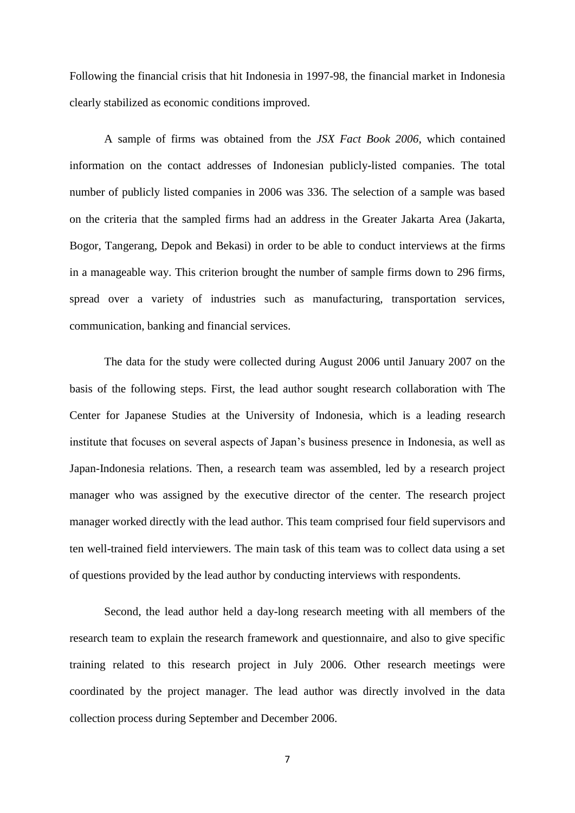Following the financial crisis that hit Indonesia in 1997-98, the financial market in Indonesia clearly stabilized as economic conditions improved.

A sample of firms was obtained from the *JSX Fact Book 2006*, which contained information on the contact addresses of Indonesian publicly-listed companies. The total number of publicly listed companies in 2006 was 336. The selection of a sample was based on the criteria that the sampled firms had an address in the Greater Jakarta Area (Jakarta, Bogor, Tangerang, Depok and Bekasi) in order to be able to conduct interviews at the firms in a manageable way. This criterion brought the number of sample firms down to 296 firms, spread over a variety of industries such as manufacturing, transportation services, communication, banking and financial services.

The data for the study were collected during August 2006 until January 2007 on the basis of the following steps. First, the lead author sought research collaboration with The Center for Japanese Studies at the University of Indonesia, which is a leading research institute that focuses on several aspects of Japan's business presence in Indonesia, as well as Japan-Indonesia relations. Then, a research team was assembled, led by a research project manager who was assigned by the executive director of the center. The research project manager worked directly with the lead author. This team comprised four field supervisors and ten well-trained field interviewers. The main task of this team was to collect data using a set of questions provided by the lead author by conducting interviews with respondents.

Second, the lead author held a day-long research meeting with all members of the research team to explain the research framework and questionnaire, and also to give specific training related to this research project in July 2006. Other research meetings were coordinated by the project manager. The lead author was directly involved in the data collection process during September and December 2006.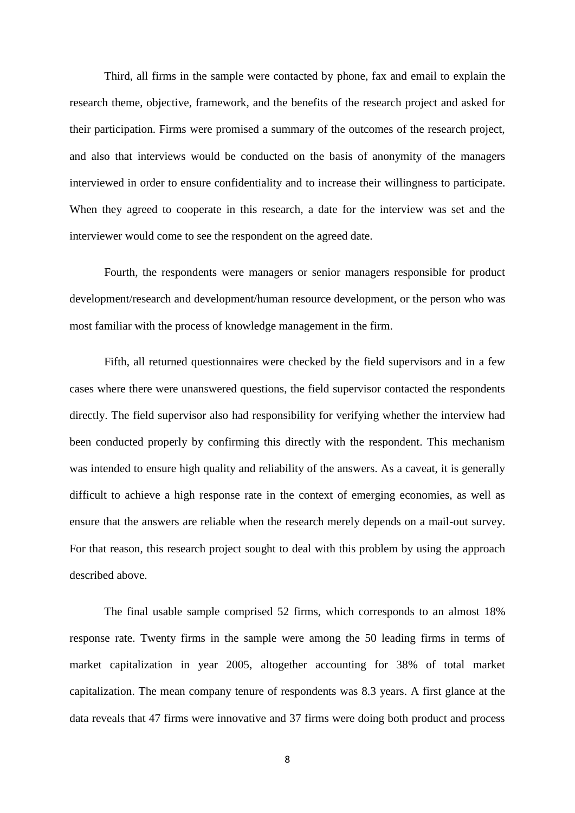Third, all firms in the sample were contacted by phone, fax and email to explain the research theme, objective, framework, and the benefits of the research project and asked for their participation. Firms were promised a summary of the outcomes of the research project, and also that interviews would be conducted on the basis of anonymity of the managers interviewed in order to ensure confidentiality and to increase their willingness to participate. When they agreed to cooperate in this research, a date for the interview was set and the interviewer would come to see the respondent on the agreed date.

Fourth, the respondents were managers or senior managers responsible for product development/research and development/human resource development, or the person who was most familiar with the process of knowledge management in the firm.

Fifth, all returned questionnaires were checked by the field supervisors and in a few cases where there were unanswered questions, the field supervisor contacted the respondents directly. The field supervisor also had responsibility for verifying whether the interview had been conducted properly by confirming this directly with the respondent. This mechanism was intended to ensure high quality and reliability of the answers. As a caveat, it is generally difficult to achieve a high response rate in the context of emerging economies, as well as ensure that the answers are reliable when the research merely depends on a mail-out survey. For that reason, this research project sought to deal with this problem by using the approach described above.

The final usable sample comprised 52 firms, which corresponds to an almost 18% response rate. Twenty firms in the sample were among the 50 leading firms in terms of market capitalization in year 2005, altogether accounting for 38% of total market capitalization. The mean company tenure of respondents was 8.3 years. A first glance at the data reveals that 47 firms were innovative and 37 firms were doing both product and process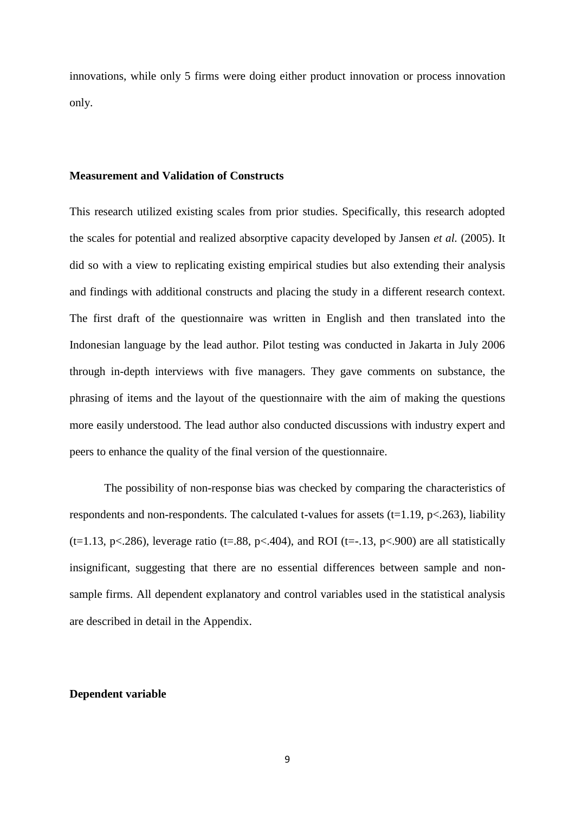innovations, while only 5 firms were doing either product innovation or process innovation only.

## **Measurement and Validation of Constructs**

This research utilized existing scales from prior studies. Specifically, this research adopted the scales for potential and realized absorptive capacity developed by Jansen *et al.* (2005). It did so with a view to replicating existing empirical studies but also extending their analysis and findings with additional constructs and placing the study in a different research context. The first draft of the questionnaire was written in English and then translated into the Indonesian language by the lead author. Pilot testing was conducted in Jakarta in July 2006 through in-depth interviews with five managers. They gave comments on substance, the phrasing of items and the layout of the questionnaire with the aim of making the questions more easily understood. The lead author also conducted discussions with industry expert and peers to enhance the quality of the final version of the questionnaire.

The possibility of non-response bias was checked by comparing the characteristics of respondents and non-respondents. The calculated t-values for assets  $(t=1.19, p<.263)$ , liability (t=1.13, p<.286), leverage ratio (t=.88, p<.404), and ROI (t= $-13$ , p<.900) are all statistically insignificant, suggesting that there are no essential differences between sample and nonsample firms. All dependent explanatory and control variables used in the statistical analysis are described in detail in the Appendix.

## **Dependent variable**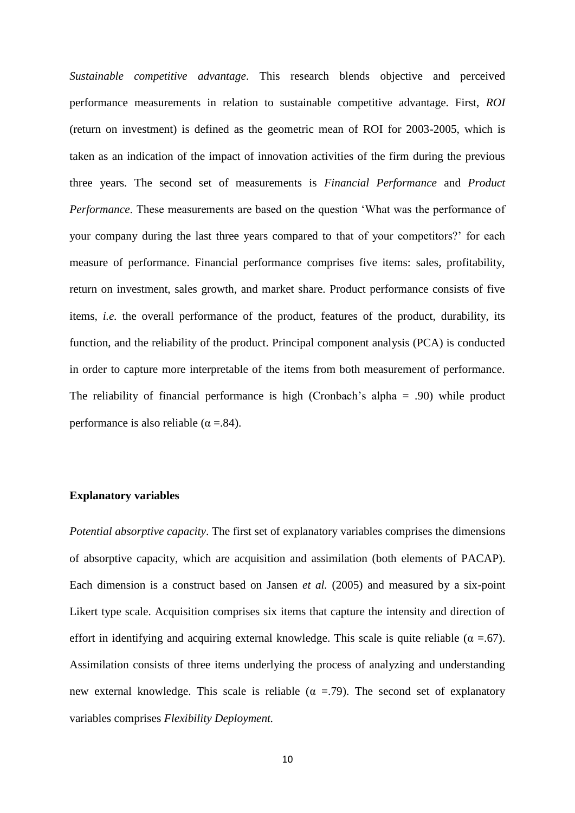*Sustainable competitive advantage*. This research blends objective and perceived performance measurements in relation to sustainable competitive advantage. First, *ROI* (return on investment) is defined as the geometric mean of ROI for 2003-2005, which is taken as an indication of the impact of innovation activities of the firm during the previous three years. The second set of measurements is *Financial Performance* and *Product Performance*. These measurements are based on the question 'What was the performance of your company during the last three years compared to that of your competitors?' for each measure of performance. Financial performance comprises five items: sales, profitability, return on investment, sales growth, and market share. Product performance consists of five items, *i.e.* the overall performance of the product, features of the product, durability, its function, and the reliability of the product. Principal component analysis (PCA) is conducted in order to capture more interpretable of the items from both measurement of performance. The reliability of financial performance is high (Cronbach's alpha  $= .90$ ) while product performance is also reliable ( $\alpha = .84$ ).

## **Explanatory variables**

*Potential absorptive capacity*. The first set of explanatory variables comprises the dimensions of absorptive capacity, which are acquisition and assimilation (both elements of PACAP). Each dimension is a construct based on Jansen *et al.* (2005) and measured by a six-point Likert type scale. Acquisition comprises six items that capture the intensity and direction of effort in identifying and acquiring external knowledge. This scale is quite reliable ( $\alpha = .67$ ). Assimilation consists of three items underlying the process of analyzing and understanding new external knowledge. This scale is reliable ( $\alpha$  = 79). The second set of explanatory variables comprises *Flexibility Deployment.*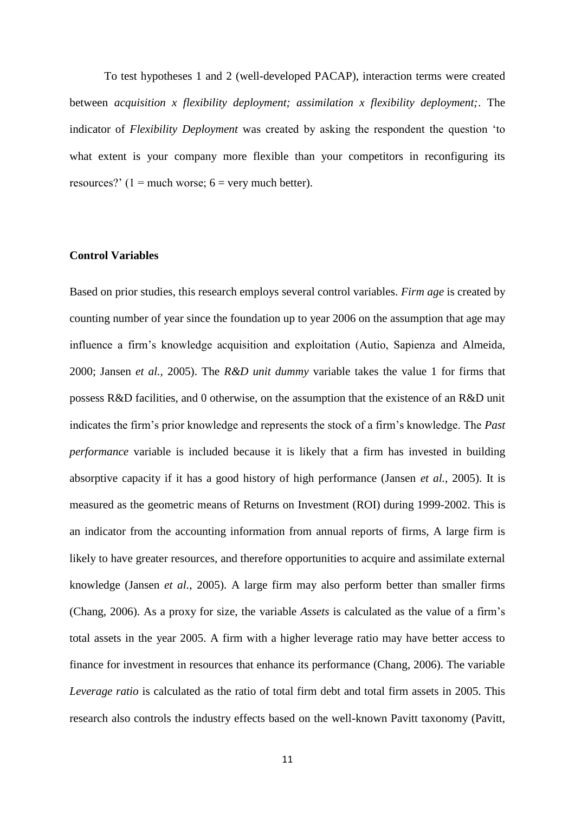To test hypotheses 1 and 2 (well-developed PACAP), interaction terms were created between *acquisition x flexibility deployment; assimilation x flexibility deployment;*. The indicator of *Flexibility Deployment* was created by asking the respondent the question 'to what extent is your company more flexible than your competitors in reconfiguring its resources?'  $(1 = \text{much worse}; 6 = \text{very much better}).$ 

## **Control Variables**

Based on prior studies, this research employs several control variables. *Firm age* is created by counting number of year since the foundation up to year 2006 on the assumption that age may influence a firm's knowledge acquisition and exploitation (Autio, Sapienza and Almeida, 2000; Jansen *et al.,* 2005). The *R&D unit dummy* variable takes the value 1 for firms that possess R&D facilities, and 0 otherwise, on the assumption that the existence of an R&D unit indicates the firm's prior knowledge and represents the stock of a firm's knowledge. The *Past performance* variable is included because it is likely that a firm has invested in building absorptive capacity if it has a good history of high performance (Jansen *et al.*, 2005). It is measured as the geometric means of Returns on Investment (ROI) during 1999-2002. This is an indicator from the accounting information from annual reports of firms, A large firm is likely to have greater resources, and therefore opportunities to acquire and assimilate external knowledge (Jansen *et al.*, 2005). A large firm may also perform better than smaller firms (Chang, 2006). As a proxy for size, the variable *Assets* is calculated as the value of a firm's total assets in the year 2005. A firm with a higher leverage ratio may have better access to finance for investment in resources that enhance its performance (Chang, 2006). The variable *Leverage ratio* is calculated as the ratio of total firm debt and total firm assets in 2005. This research also controls the industry effects based on the well-known Pavitt taxonomy (Pavitt,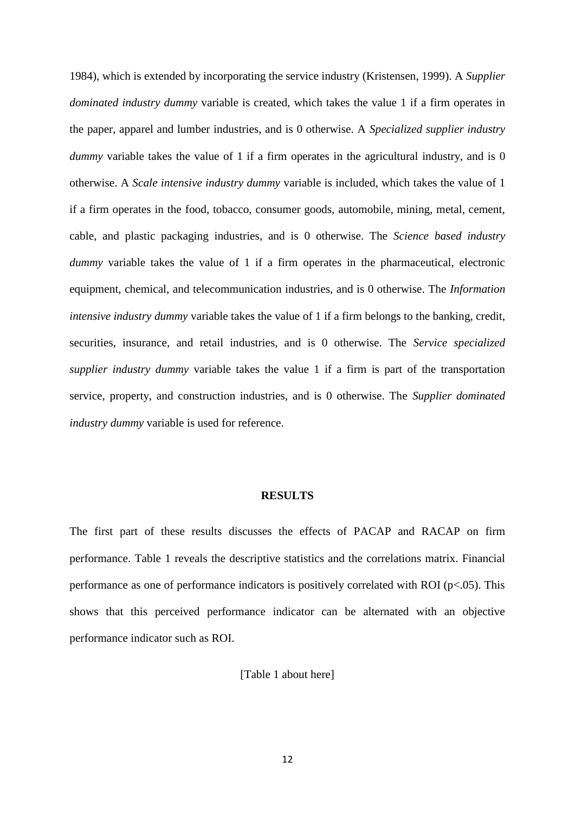1984), which is extended by incorporating the service industry (Kristensen, 1999). A *Supplier dominated industry dummy* variable is created, which takes the value 1 if a firm operates in the paper, apparel and lumber industries, and is 0 otherwise. A *Specialized supplier industry dummy* variable takes the value of 1 if a firm operates in the agricultural industry, and is 0 otherwise. A *Scale intensive industry dummy* variable is included, which takes the value of 1 if a firm operates in the food, tobacco, consumer goods, automobile, mining, metal, cement, cable, and plastic packaging industries, and is 0 otherwise. The *Science based industry dummy* variable takes the value of 1 if a firm operates in the pharmaceutical, electronic equipment, chemical, and telecommunication industries, and is 0 otherwise. The *Information intensive industry dummy* variable takes the value of 1 if a firm belongs to the banking, credit, securities, insurance, and retail industries, and is 0 otherwise. The *Service specialized supplier industry dummy* variable takes the value 1 if a firm is part of the transportation service, property, and construction industries, and is 0 otherwise. The *Supplier dominated industry dummy* variable is used for reference.

### **RESULTS**

The first part of these results discusses the effects of PACAP and RACAP on firm performance. Table 1 reveals the descriptive statistics and the correlations matrix. Financial performance as one of performance indicators is positively correlated with ROI (p<.05). This shows that this perceived performance indicator can be alternated with an objective performance indicator such as ROI.

[Table 1 about here]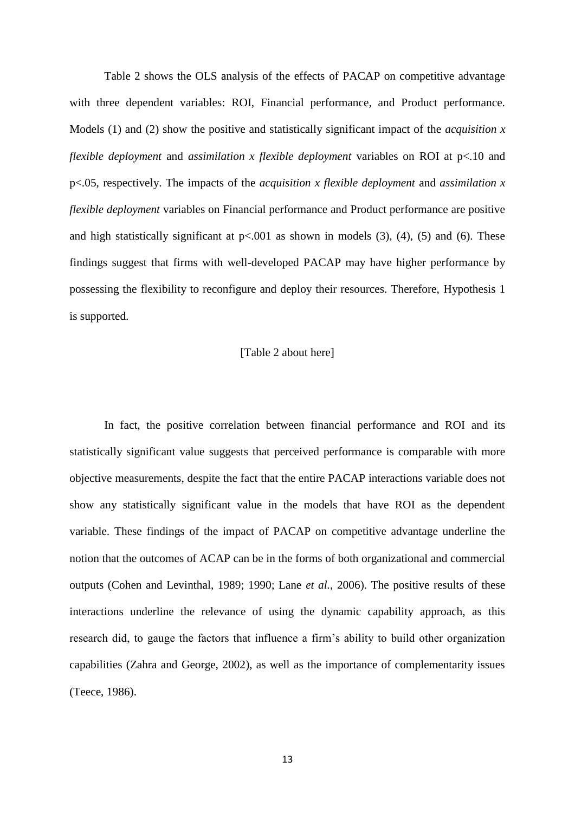Table 2 shows the OLS analysis of the effects of PACAP on competitive advantage with three dependent variables: ROI, Financial performance, and Product performance. Models (1) and (2) show the positive and statistically significant impact of the *acquisition x flexible deployment* and *assimilation x flexible deployment* variables on ROI at p<.10 and p<.05, respectively. The impacts of the *acquisition x flexible deployment* and *assimilation x flexible deployment* variables on Financial performance and Product performance are positive and high statistically significant at  $p<0.001$  as shown in models (3), (4), (5) and (6). These findings suggest that firms with well-developed PACAP may have higher performance by possessing the flexibility to reconfigure and deploy their resources. Therefore, Hypothesis 1 is supported.

#### [Table 2 about here]

In fact, the positive correlation between financial performance and ROI and its statistically significant value suggests that perceived performance is comparable with more objective measurements, despite the fact that the entire PACAP interactions variable does not show any statistically significant value in the models that have ROI as the dependent variable. These findings of the impact of PACAP on competitive advantage underline the notion that the outcomes of ACAP can be in the forms of both organizational and commercial outputs (Cohen and Levinthal, 1989; 1990; Lane *et al.*, 2006). The positive results of these interactions underline the relevance of using the dynamic capability approach, as this research did, to gauge the factors that influence a firm's ability to build other organization capabilities (Zahra and George, 2002), as well as the importance of complementarity issues (Teece, 1986).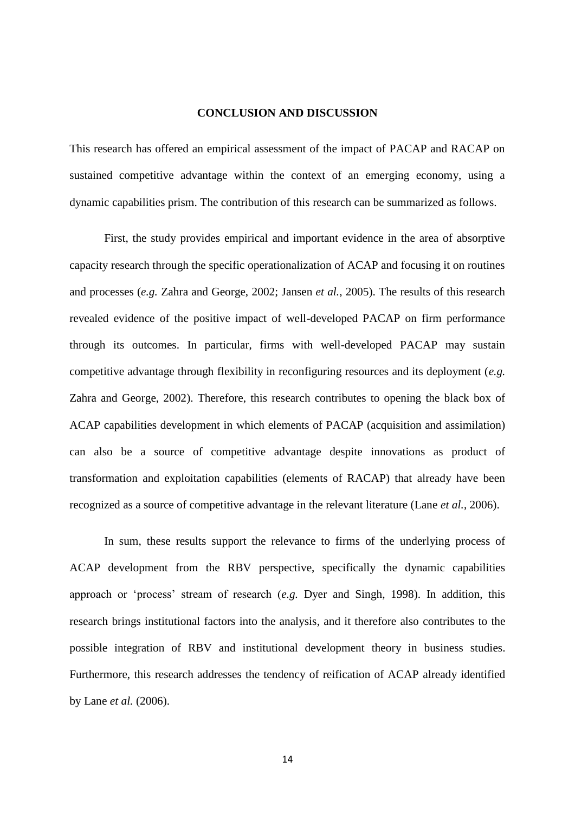## **CONCLUSION AND DISCUSSION**

This research has offered an empirical assessment of the impact of PACAP and RACAP on sustained competitive advantage within the context of an emerging economy, using a dynamic capabilities prism. The contribution of this research can be summarized as follows.

First, the study provides empirical and important evidence in the area of absorptive capacity research through the specific operationalization of ACAP and focusing it on routines and processes (*e.g.* Zahra and George, 2002; Jansen *et al.*, 2005). The results of this research revealed evidence of the positive impact of well-developed PACAP on firm performance through its outcomes. In particular, firms with well-developed PACAP may sustain competitive advantage through flexibility in reconfiguring resources and its deployment (*e.g.* Zahra and George, 2002). Therefore, this research contributes to opening the black box of ACAP capabilities development in which elements of PACAP (acquisition and assimilation) can also be a source of competitive advantage despite innovations as product of transformation and exploitation capabilities (elements of RACAP) that already have been recognized as a source of competitive advantage in the relevant literature (Lane *et al.*, 2006).

In sum, these results support the relevance to firms of the underlying process of ACAP development from the RBV perspective, specifically the dynamic capabilities approach or 'process' stream of research (*e.g.* Dyer and Singh, 1998). In addition, this research brings institutional factors into the analysis, and it therefore also contributes to the possible integration of RBV and institutional development theory in business studies. Furthermore, this research addresses the tendency of reification of ACAP already identified by Lane *et al.* (2006).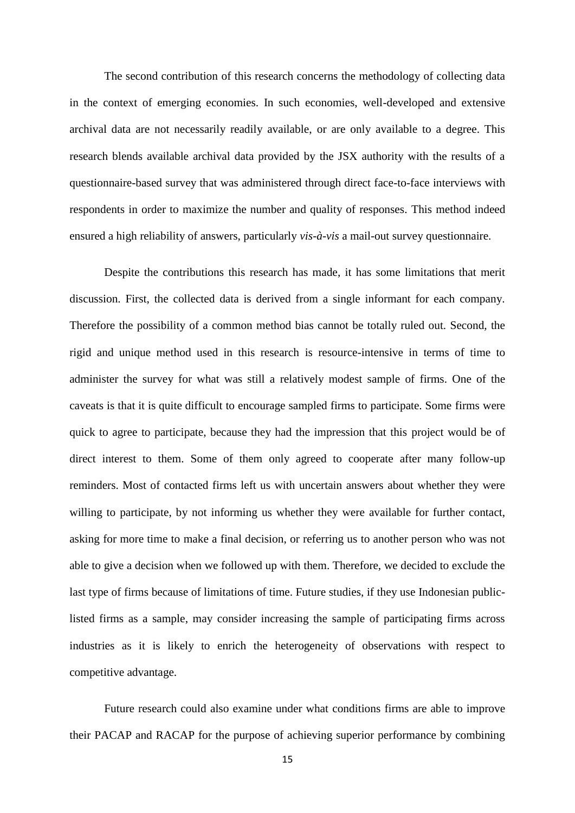The second contribution of this research concerns the methodology of collecting data in the context of emerging economies. In such economies, well-developed and extensive archival data are not necessarily readily available, or are only available to a degree. This research blends available archival data provided by the JSX authority with the results of a questionnaire-based survey that was administered through direct face-to-face interviews with respondents in order to maximize the number and quality of responses. This method indeed ensured a high reliability of answers, particularly *vis-à-vis* a mail-out survey questionnaire.

Despite the contributions this research has made, it has some limitations that merit discussion. First, the collected data is derived from a single informant for each company. Therefore the possibility of a common method bias cannot be totally ruled out. Second, the rigid and unique method used in this research is resource-intensive in terms of time to administer the survey for what was still a relatively modest sample of firms. One of the caveats is that it is quite difficult to encourage sampled firms to participate. Some firms were quick to agree to participate, because they had the impression that this project would be of direct interest to them. Some of them only agreed to cooperate after many follow-up reminders. Most of contacted firms left us with uncertain answers about whether they were willing to participate, by not informing us whether they were available for further contact, asking for more time to make a final decision, or referring us to another person who was not able to give a decision when we followed up with them. Therefore, we decided to exclude the last type of firms because of limitations of time. Future studies, if they use Indonesian publiclisted firms as a sample, may consider increasing the sample of participating firms across industries as it is likely to enrich the heterogeneity of observations with respect to competitive advantage.

Future research could also examine under what conditions firms are able to improve their PACAP and RACAP for the purpose of achieving superior performance by combining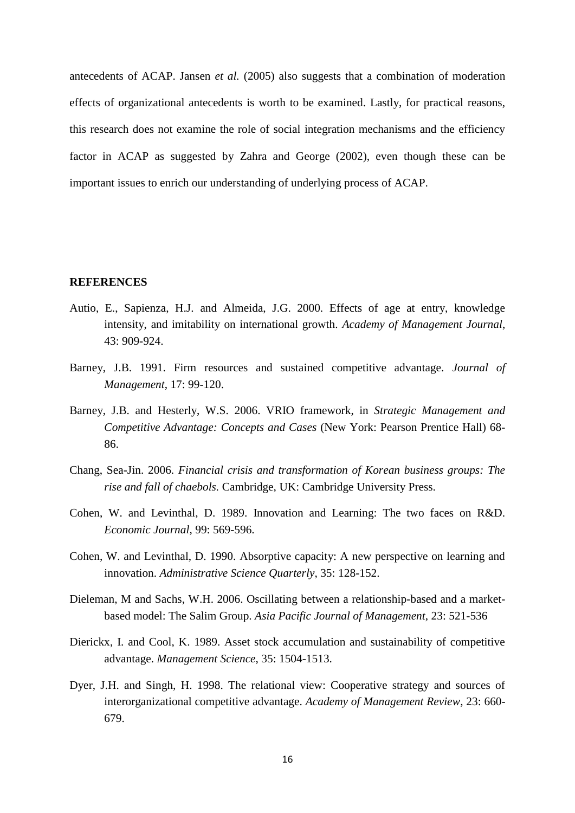antecedents of ACAP. Jansen *et al.* (2005) also suggests that a combination of moderation effects of organizational antecedents is worth to be examined. Lastly, for practical reasons, this research does not examine the role of social integration mechanisms and the efficiency factor in ACAP as suggested by Zahra and George (2002), even though these can be important issues to enrich our understanding of underlying process of ACAP.

#### **REFERENCES**

- Autio, E., Sapienza, H.J. and Almeida, J.G. 2000. Effects of age at entry, knowledge intensity, and imitability on international growth. *Academy of Management Journal*, 43: 909-924.
- Barney, J.B. 1991. Firm resources and sustained competitive advantage. *Journal of Management*, 17: 99-120.
- Barney, J.B. and Hesterly, W.S. 2006. VRIO framework, in *Strategic Management and Competitive Advantage: Concepts and Cases* (New York: Pearson Prentice Hall) 68- 86.
- Chang, Sea-Jin. 2006. *Financial crisis and transformation of Korean business groups: The rise and fall of chaebols.* Cambridge, UK: Cambridge University Press.
- Cohen, W. and Levinthal, D. 1989. Innovation and Learning: The two faces on R&D. *Economic Journal*, 99: 569-596.
- Cohen, W. and Levinthal, D. 1990. Absorptive capacity: A new perspective on learning and innovation. *Administrative Science Quarterly*, 35: 128-152.
- Dieleman, M and Sachs, W.H. 2006. Oscillating between a relationship-based and a marketbased model: The Salim Group. *Asia Pacific Journal of Management*, 23: 521-536
- Dierickx, I. and Cool, K. 1989. Asset stock accumulation and sustainability of competitive advantage. *Management Science*, 35: 1504-1513.
- Dyer, J.H. and Singh, H. 1998. The relational view: Cooperative strategy and sources of interorganizational competitive advantage. *Academy of Management Review*, 23: 660- 679.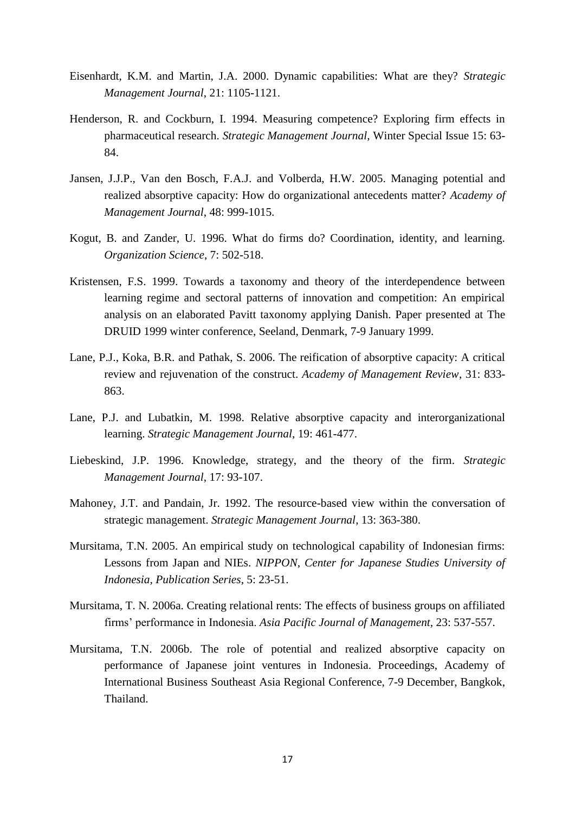- Eisenhardt, K.M. and Martin, J.A. 2000. Dynamic capabilities: What are they? *Strategic Management Journal*, 21: 1105-1121.
- Henderson, R. and Cockburn, I. 1994. Measuring competence? Exploring firm effects in pharmaceutical research. *Strategic Management Journal*, Winter Special Issue 15: 63- 84.
- Jansen, J.J.P., Van den Bosch, F.A.J. and Volberda, H.W. 2005. Managing potential and realized absorptive capacity: How do organizational antecedents matter? *Academy of Management Journal*, 48: 999-1015.
- Kogut, B. and Zander, U. 1996. What do firms do? Coordination, identity, and learning. *Organization Science*, 7: 502-518.
- Kristensen, F.S. 1999. Towards a taxonomy and theory of the interdependence between learning regime and sectoral patterns of innovation and competition: An empirical analysis on an elaborated Pavitt taxonomy applying Danish. Paper presented at The DRUID 1999 winter conference, Seeland, Denmark, 7-9 January 1999.
- Lane, P.J., Koka, B.R. and Pathak, S. 2006. The reification of absorptive capacity: A critical review and rejuvenation of the construct. *Academy of Management Review*, 31: 833- 863.
- Lane, P.J. and Lubatkin, M. 1998. Relative absorptive capacity and interorganizational learning. *Strategic Management Journal*, 19: 461-477.
- Liebeskind, J.P. 1996. Knowledge, strategy, and the theory of the firm. *Strategic Management Journal*, 17: 93-107.
- Mahoney, J.T. and Pandain, Jr. 1992. The resource-based view within the conversation of strategic management. *Strategic Management Journal*, 13: 363-380.
- Mursitama, T.N. 2005. An empirical study on technological capability of Indonesian firms: Lessons from Japan and NIEs. *NIPPON, Center for Japanese Studies University of Indonesia, Publication Series*, 5: 23-51.
- Mursitama, T. N. 2006a. Creating relational rents: The effects of business groups on affiliated firms' performance in Indonesia. *Asia Pacific Journal of Management*, 23: 537-557.
- Mursitama, T.N. 2006b. The role of potential and realized absorptive capacity on performance of Japanese joint ventures in Indonesia. Proceedings, Academy of International Business Southeast Asia Regional Conference, 7-9 December, Bangkok, Thailand.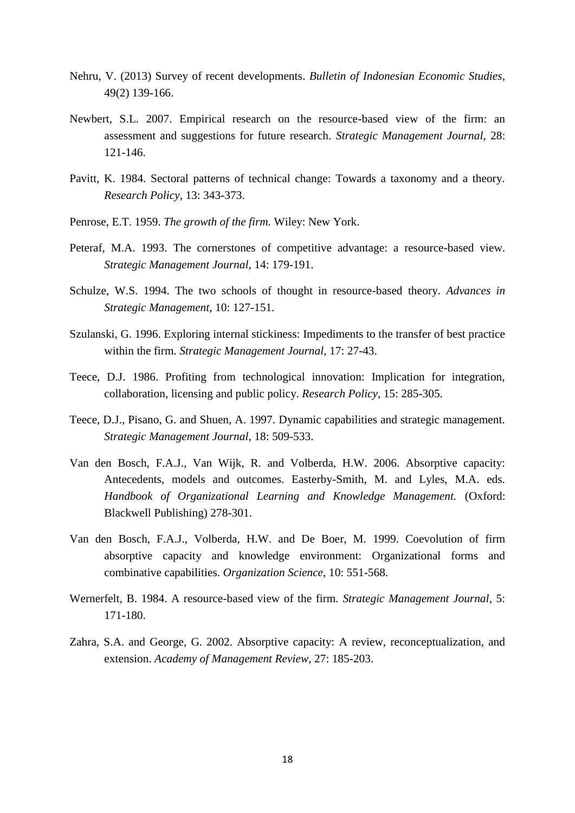- Nehru, V. (2013) Survey of recent developments. *Bulletin of Indonesian Economic Studies*, 49(2) 139-166.
- Newbert, S.L. 2007. Empirical research on the resource-based view of the firm: an assessment and suggestions for future research. *Strategic Management Journal*, 28: 121-146.
- Pavitt, K. 1984. Sectoral patterns of technical change: Towards a taxonomy and a theory. *Research Policy*, 13: 343-373.
- Penrose, E.T. 1959. *The growth of the firm.* Wiley: New York.
- Peteraf, M.A. 1993. The cornerstones of competitive advantage: a resource-based view. *Strategic Management Journal*, 14: 179-191.
- Schulze, W.S. 1994. The two schools of thought in resource-based theory. *Advances in Strategic Management*, 10: 127-151.
- Szulanski, G. 1996. Exploring internal stickiness: Impediments to the transfer of best practice within the firm. *Strategic Management Journal*, 17: 27-43.
- Teece, D.J. 1986. Profiting from technological innovation: Implication for integration, collaboration, licensing and public policy. *Research Policy*, 15: 285-305.
- Teece, D.J., Pisano, G. and Shuen, A. 1997. Dynamic capabilities and strategic management. *Strategic Management Journal*, 18: 509-533.
- Van den Bosch, F.A.J., Van Wijk, R. and Volberda, H.W. 2006. Absorptive capacity: Antecedents, models and outcomes. Easterby-Smith, M. and Lyles, M.A. eds. *Handbook of Organizational Learning and Knowledge Management.* (Oxford: Blackwell Publishing) 278-301.
- Van den Bosch, F.A.J., Volberda, H.W. and De Boer, M. 1999. Coevolution of firm absorptive capacity and knowledge environment: Organizational forms and combinative capabilities. *Organization Science*, 10: 551-568.
- Wernerfelt, B. 1984. A resource-based view of the firm*. Strategic Management Journal*, 5: 171-180.
- Zahra, S.A. and George, G. 2002. Absorptive capacity: A review, reconceptualization, and extension. *Academy of Management Review*, 27: 185-203.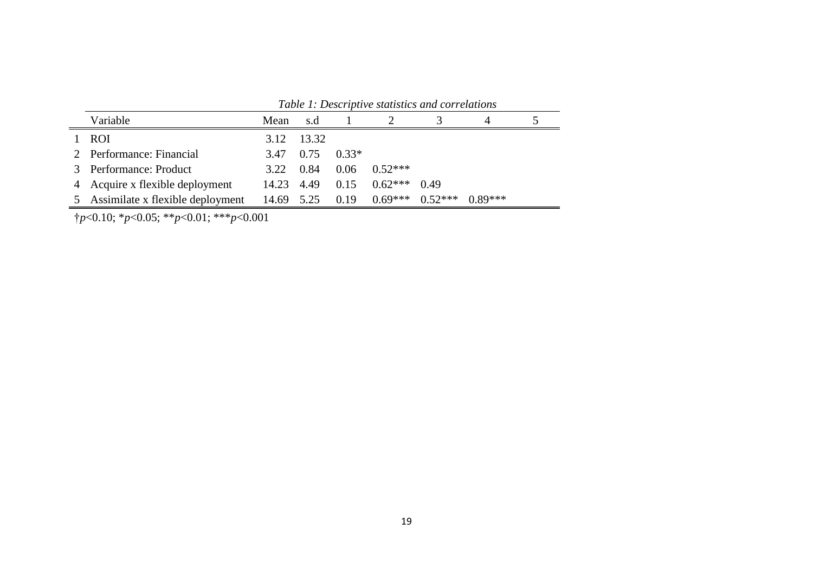| Variable                           | Mean       | s.d        |         |                  |                     |           |  |
|------------------------------------|------------|------------|---------|------------------|---------------------|-----------|--|
| <b>ROI</b>                         |            | 3.12 13.32 |         |                  |                     |           |  |
| 2 Performance: Financial           | 3.47 0.75  |            | $0.33*$ |                  |                     |           |  |
| 3 Performance: Product             | 3.22       | 0.84       |         | $0.06$ $0.52***$ |                     |           |  |
| 4 Acquire x flexible deployment    | 14.23 4.49 |            | 0.15    | $0.62***$ 0.49   |                     |           |  |
| 5 Assimilate x flexible deployment | 14.69 5.25 |            | 0.19    |                  | $0.69***$ $0.52***$ | $0.89***$ |  |

*Table 1: Descriptive statistics and correlations*

†*p*<0.10; \**p*<0.05; \*\**p*<0.01; \*\*\**p*<0.001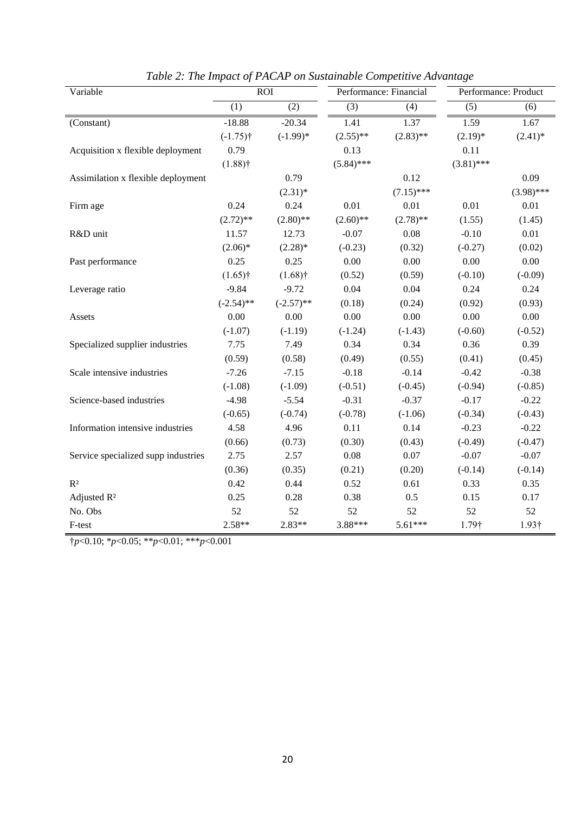| Variable                            |              | <b>ROI</b>       |                  | Performance: Financial | Performance: Product |               |
|-------------------------------------|--------------|------------------|------------------|------------------------|----------------------|---------------|
|                                     | (1)          | $\overline{(2)}$ | $\overline{(3)}$ | $\overline{(4)}$       | (5)                  | (6)           |
| (Constant)                          | $-18.88$     | $-20.34$         | 1.41             | 1.37                   | 1.59                 | 1.67          |
|                                     | $(-1.75)$ †  | $(-1.99)$ *      | $(2.55)$ **      | $(2.83)$ **            | $(2.19)*$            | $(2.41)^*$    |
| Acquisition x flexible deployment   | 0.79         |                  | 0.13             |                        | 0.11                 |               |
|                                     | $(1.88)$ †   |                  | $(5.84)$ ***     |                        | $(3.81)$ ***         |               |
| Assimilation x flexible deployment  |              | 0.79             |                  | 0.12                   |                      | 0.09          |
|                                     |              | $(2.31)^*$       |                  | $(7.15)$ ***           |                      | $(3.98)$ ***  |
| Firm age                            | 0.24         | 0.24             | 0.01             | 0.01                   | 0.01                 | 0.01          |
|                                     | $(2.72)$ **  | $(2.80)$ **      | $(2.60)$ **      | $(2.78)$ **            | (1.55)               | (1.45)        |
| R&D unit                            | 11.57        | 12.73            | $-0.07$          | 0.08                   | $-0.10$              | $0.01\,$      |
|                                     | $(2.06)*$    | $(2.28)$ *       | $(-0.23)$        | (0.32)                 | $(-0.27)$            | (0.02)        |
| Past performance                    | 0.25         | 0.25             | 0.00             | 0.00                   | 0.00                 | 0.00          |
|                                     | $(1.65)$ †   | $(1.68)$ †       | (0.52)           | (0.59)                 | $(-0.10)$            | $(-0.09)$     |
| Leverage ratio                      | $-9.84$      | $-9.72$          | 0.04             | 0.04                   | 0.24                 | 0.24          |
|                                     | $(-2.54)$ ** | $(-2.57)$ **     | (0.18)           | (0.24)                 | (0.92)               | (0.93)        |
| Assets                              | 0.00         | 0.00             | 0.00             | 0.00                   | 0.00                 | 0.00          |
|                                     | $(-1.07)$    | $(-1.19)$        | $(-1.24)$        | $(-1.43)$              | $(-0.60)$            | $(-0.52)$     |
| Specialized supplier industries     | 7.75         | 7.49             | 0.34             | 0.34                   | 0.36                 | 0.39          |
|                                     | (0.59)       | (0.58)           | (0.49)           | (0.55)                 | (0.41)               | (0.45)        |
| Scale intensive industries          | $-7.26$      | $-7.15$          | $-0.18$          | $-0.14$                | $-0.42$              | $-0.38$       |
|                                     | $(-1.08)$    | $(-1.09)$        | $(-0.51)$        | $(-0.45)$              | $(-0.94)$            | $(-0.85)$     |
| Science-based industries            | $-4.98$      | $-5.54$          | $-0.31$          | $-0.37$                | $-0.17$              | $-0.22$       |
|                                     | $(-0.65)$    | $(-0.74)$        | $(-0.78)$        | $(-1.06)$              | $(-0.34)$            | $(-0.43)$     |
| Information intensive industries    | 4.58         | 4.96             | 0.11             | 0.14                   | $-0.23$              | $-0.22$       |
|                                     | (0.66)       | (0.73)           | (0.30)           | (0.43)                 | $(-0.49)$            | $(-0.47)$     |
| Service specialized supp industries | 2.75         | 2.57             | 0.08             | $0.07\,$               | $-0.07$              | $-0.07$       |
|                                     | (0.36)       | (0.35)           | (0.21)           | (0.20)                 | $(-0.14)$            | $(-0.14)$     |
| R <sup>2</sup>                      | 0.42         | 0.44             | 0.52             | 0.61                   | 0.33                 | 0.35          |
| Adjusted R <sup>2</sup>             | 0.25         | 0.28             | 0.38             | 0.5                    | 0.15                 | 0.17          |
| No. Obs                             | 52           | 52               | 52               | 52                     | 52                   | 52            |
| F-test                              | $2.58**$     | $2.83**$         | 3.88***          | 5.61***                | 1.79†                | $1.93\dagger$ |

| Table 2: The Impact of PACAP on Sustainable Competitive Advantage |  |  |
|-------------------------------------------------------------------|--|--|
|                                                                   |  |  |

†*p*<0.10; \**p*<0.05; \*\**p*<0.01; \*\*\**p*<0.001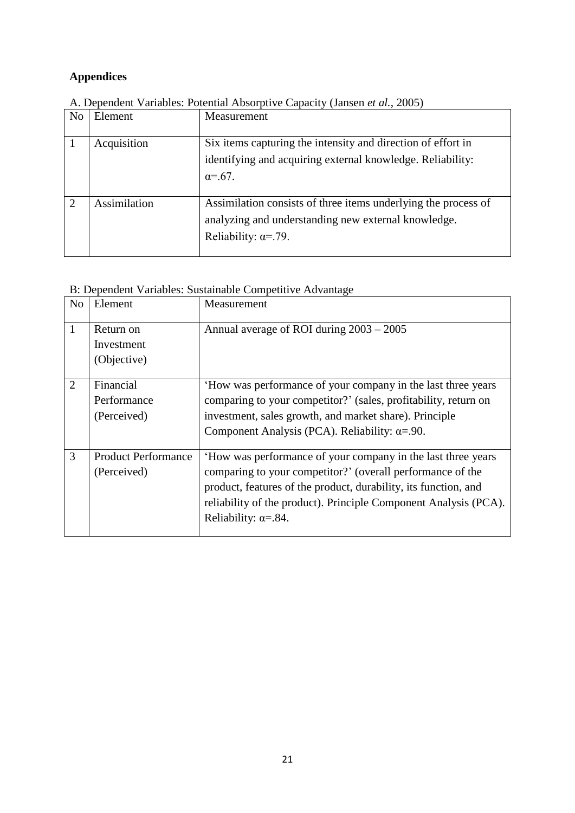## **Appendices**

| N <sub>o</sub> | Element      | Measurement                                                    |
|----------------|--------------|----------------------------------------------------------------|
|                | Acquisition  | Six items capturing the intensity and direction of effort in   |
|                |              | identifying and acquiring external knowledge. Reliability:     |
|                |              | $\alpha = .67$ .                                               |
|                |              |                                                                |
| $\overline{2}$ | Assimilation | Assimilation consists of three items underlying the process of |
|                |              | analyzing and understanding new external knowledge.            |
|                |              | Reliability: $\alpha = .79$ .                                  |
|                |              |                                                                |

A. Dependent Variables: Potential Absorptive Capacity (Jansen *et al.*, 2005)

| B: Dependent Variables: Sustainable Competitive Advantage |  |  |  |  |  |  |  |  |
|-----------------------------------------------------------|--|--|--|--|--|--|--|--|
|-----------------------------------------------------------|--|--|--|--|--|--|--|--|

| N <sub>o</sub> | Element                                   | Measurement                                                                                                                                                                                                                                                                                       |
|----------------|-------------------------------------------|---------------------------------------------------------------------------------------------------------------------------------------------------------------------------------------------------------------------------------------------------------------------------------------------------|
| $\mathbf{1}$   | Return on<br>Investment<br>(Objective)    | Annual average of ROI during 2003 – 2005                                                                                                                                                                                                                                                          |
| 2              | Financial<br>Performance<br>(Perceived)   | 'How was performance of your company in the last three years<br>comparing to your competitor?' (sales, profitability, return on<br>investment, sales growth, and market share). Principle<br>Component Analysis (PCA). Reliability: $\alpha = .90$ .                                              |
| 3              | <b>Product Performance</b><br>(Perceived) | How was performance of your company in the last three years<br>comparing to your competitor?' (overall performance of the<br>product, features of the product, durability, its function, and<br>reliability of the product). Principle Component Analysis (PCA).<br>Reliability: $\alpha = .84$ . |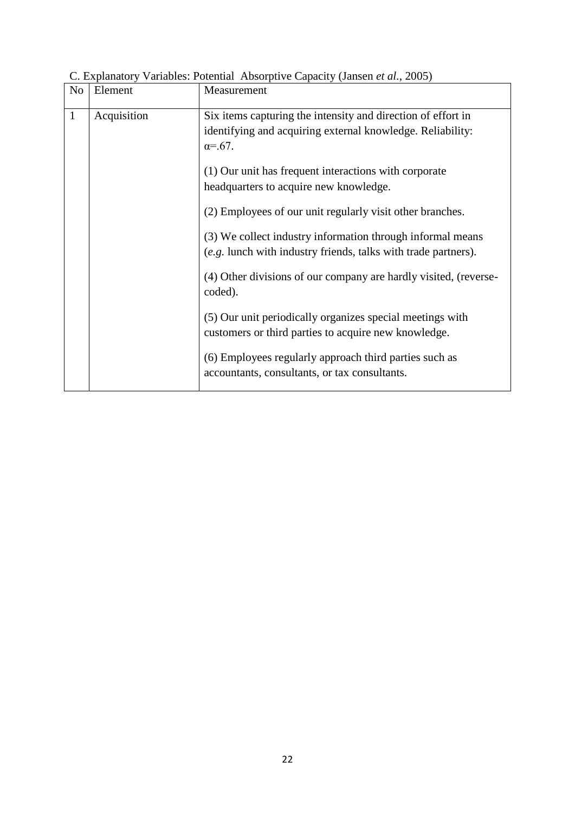| N <sub>o</sub> | Element     | Measurement                                                                                                                                    |
|----------------|-------------|------------------------------------------------------------------------------------------------------------------------------------------------|
| $\mathbf{1}$   | Acquisition | Six items capturing the intensity and direction of effort in<br>identifying and acquiring external knowledge. Reliability:<br>$\alpha = .67$ . |
|                |             | (1) Our unit has frequent interactions with corporate<br>headquarters to acquire new knowledge.                                                |
|                |             | (2) Employees of our unit regularly visit other branches.                                                                                      |
|                |             | (3) We collect industry information through informal means<br>(e.g. lunch with industry friends, talks with trade partners).                   |
|                |             | (4) Other divisions of our company are hardly visited, (reverse-<br>coded).                                                                    |
|                |             | (5) Our unit periodically organizes special meetings with<br>customers or third parties to acquire new knowledge.                              |
|                |             | (6) Employees regularly approach third parties such as<br>accountants, consultants, or tax consultants.                                        |

C. Explanatory Variables: Potential Absorptive Capacity (Jansen *et al.*, 2005)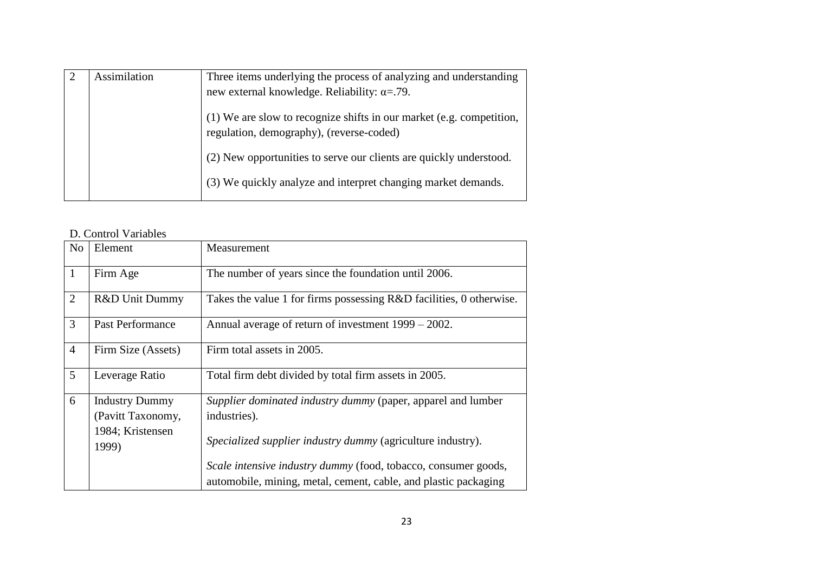| Assimilation | Three items underlying the process of analyzing and understanding                                                |
|--------------|------------------------------------------------------------------------------------------------------------------|
|              | new external knowledge. Reliability: $\alpha = .79$ .                                                            |
|              | (1) We are slow to recognize shifts in our market (e.g. competition,<br>regulation, demography), (reverse-coded) |
|              | (2) New opportunities to serve our clients are quickly understood.                                               |
|              | (3) We quickly analyze and interpret changing market demands.                                                    |

## D. Control Variables

| N <sub>o</sub> | Element                                                                 | Measurement                                                                                                                                 |
|----------------|-------------------------------------------------------------------------|---------------------------------------------------------------------------------------------------------------------------------------------|
| $\mathbf{1}$   | Firm Age                                                                | The number of years since the foundation until 2006.                                                                                        |
| $\overline{2}$ | R&D Unit Dummy                                                          | Takes the value 1 for firms possessing R&D facilities, 0 otherwise.                                                                         |
| 3              | <b>Past Performance</b>                                                 | Annual average of return of investment 1999 – 2002.                                                                                         |
| $\overline{4}$ | Firm Size (Assets)                                                      | Firm total assets in 2005.                                                                                                                  |
| 5              | Leverage Ratio                                                          | Total firm debt divided by total firm assets in 2005.                                                                                       |
| 6              | <b>Industry Dummy</b><br>(Pavitt Taxonomy,<br>1984; Kristensen<br>1999) | Supplier dominated industry dummy (paper, apparel and lumber<br>industries).<br>Specialized supplier industry dummy (agriculture industry). |
|                |                                                                         | Scale intensive industry dummy (food, tobacco, consumer goods,<br>automobile, mining, metal, cement, cable, and plastic packaging           |